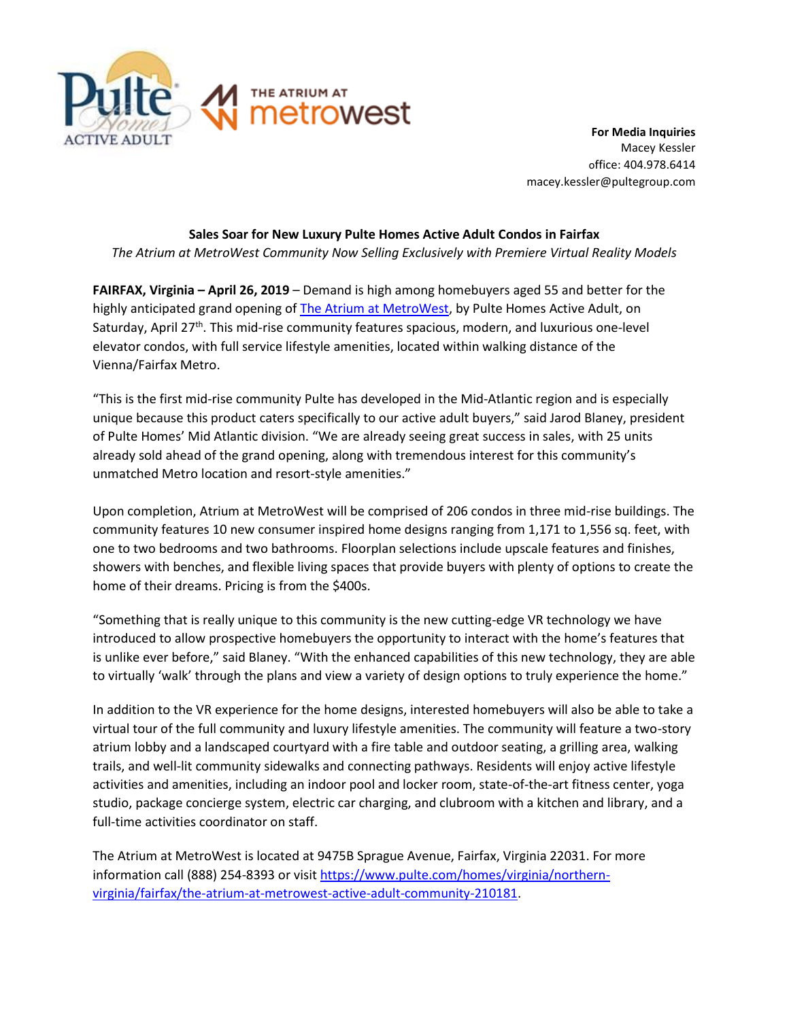

**For Media Inquiries** Macey Kessler office: 404.978.6414 macey.kessler@pultegroup.com

## **Sales Soar for New Luxury Pulte Homes Active Adult Condos in Fairfax**

*The Atrium at MetroWest Community Now Selling Exclusively with Premiere Virtual Reality Models* 

**FAIRFAX, Virginia – April 26, 2019** – Demand is high among homebuyers aged 55 and better for the highly anticipated grand opening of [The Atrium at MetroWest,](https://www.pulte.com/homes/virginia/northern-virginia/fairfax/the-atrium-at-metrowest-active-adult-community-210181) by Pulte Homes Active Adult, on Saturday, April 27<sup>th</sup>. This mid-rise community features spacious, modern, and luxurious one-level elevator condos, with full service lifestyle amenities, located within walking distance of the Vienna/Fairfax Metro.

"This is the first mid-rise community Pulte has developed in the Mid-Atlantic region and is especially unique because this product caters specifically to our active adult buyers," said Jarod Blaney, president of Pulte Homes' Mid Atlantic division. "We are already seeing great success in sales, with 25 units already sold ahead of the grand opening, along with tremendous interest for this community's unmatched Metro location and resort-style amenities."

Upon completion, Atrium at MetroWest will be comprised of 206 condos in three mid-rise buildings. The community features 10 new consumer inspired home designs ranging from 1,171 to 1,556 sq. feet, with one to two bedrooms and two bathrooms. Floorplan selections include upscale features and finishes, showers with benches, and flexible living spaces that provide buyers with plenty of options to create the home of their dreams. Pricing is from the \$400s.

"Something that is really unique to this community is the new cutting-edge VR technology we have introduced to allow prospective homebuyers the opportunity to interact with the home's features that is unlike ever before," said Blaney. "With the enhanced capabilities of this new technology, they are able to virtually 'walk' through the plans and view a variety of design options to truly experience the home."

In addition to the VR experience for the home designs, interested homebuyers will also be able to take a virtual tour of the full community and luxury lifestyle amenities. The community will feature a two-story atrium lobby and a landscaped courtyard with a fire table and outdoor seating, a grilling area, walking trails, and well-lit community sidewalks and connecting pathways. Residents will enjoy active lifestyle activities and amenities, including an indoor pool and locker room, state-of-the-art fitness center, yoga studio, package concierge system, electric car charging, and clubroom with a kitchen and library, and a full-time activities coordinator on staff.

The Atrium at MetroWest is located at 9475B Sprague Avenue, Fairfax, Virginia 22031. For more information call (888) 254-8393 or visi[t https://www.pulte.com/homes/virginia/northern](https://www.pulte.com/homes/virginia/northern-virginia/fairfax/the-atrium-at-metrowest-active-adult-community-210181)[virginia/fairfax/the-atrium-at-metrowest-active-adult-community-210181.](https://www.pulte.com/homes/virginia/northern-virginia/fairfax/the-atrium-at-metrowest-active-adult-community-210181)